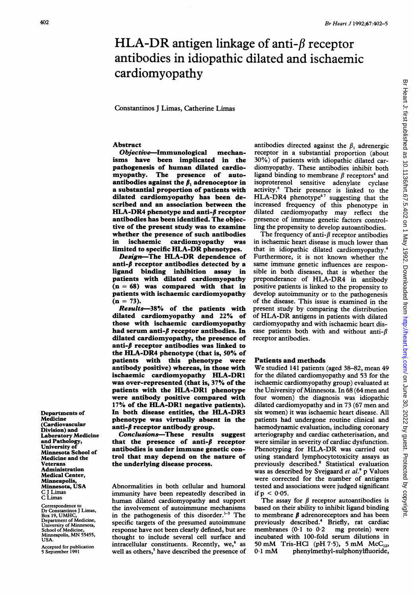# HLA-DR antigen linkage of anti- $\beta$  receptor antibodies in idiopathic dilated and ischaemic cardiomyopathy

Constantinos J Limas, Catherine Limas

#### Abstract

Objective-Immunological mechanisms have been implicated in the pathogenesis of human dilated cardiomyopathy. The presence of autoantibodies against the  $\beta_1$  adrenoceptor in a substantial proportion of patients with dilated cardiomyopathy has been described and an association between the HLA-DR4 phenotype and anti- $\beta$  receptor antibodies has been identified. The objective of the present study was to examine whether the presence of such antibodies<br>in ischaemic cardiomyopathy was in ischaemic cardiomyopathy was limited to specific HLA-DR phenotypes.

Design-The HLA-DR dependence of anti- $\beta$  receptor antibodies detected by a ligand binding inhibition assay in patients with dilated cardiomyopathy  $(n = 68)$  was compared with that in patients with ischaemic cardiomyopathy  $(n = 73).$ 

Results-38% of the patients with dilated cardiomyopathy and 22% of those with ischaemic cardiomyopathy had serum anti- $\beta$  receptor antibodies. In dilated cardiomyopathy, the presence of anti- $\beta$  receptor antibodies was linked to the HLA-DR4 phenotype (that is, 50% of patients with this phenotype were antibody positive) whereas, in those with ischaemic cardiomyopathy HLA-DR1 was over-represented (that is, 37% of the patients with the HLA-DR1 phenotype were antibody positive compared with 17% of the HLA-DRI negative patients). In both disease entities, the HLA-DR3 phenotype was virtually absent in the anti- $\beta$  receptor antibody group.

Conclusions-These results suggest that the presence of anti- $\beta$  receptor antibodies is under immune genetic control that may depend on the nature of the underlying disease process.

Abnormalities in both cellular and humoral immunity have been repeatedly described in human dilated cardiomyopathy and support the involvement of autoimmune mechanisms in the pathogenesis of this disorder. $1-3$  The specific targets of the presumed autoimmune response have not been clearly defined, but are thought to include several cell surface and intracellular constituents. Recently, we,<sup>4</sup> as well as others,<sup>5</sup> have described the presence of antibodies directed against the  $\beta_1$  adrenergic receptor in a substantial proportion (about 30%) of patients with idiopathic dilated cardiomyopathy. These antibodies inhibit both ligand binding to membrane  $\beta$  receptors<sup>4</sup> and isoproterenol sensitive adenylate cyclase activity.<sup>6</sup> Their presence is linked to the HLA-DR4 phenotype<sup>67</sup> suggesting that the increased frequency of this phenotype in dilated cardiomyopathy may reflect the presence of immune genetic factors controlling the propensity to develop autoantibodies.

The frequency of anti- $\beta$  receptor antibodies in ischaemic heart disease is much lower than that in idiopathic dilated cardiomyopathy.<sup>4</sup> Furthermore, it is not known whether the same immune genetic influences are responsible in both diseases, that is whether the preponderance of HLA-DR4 in antibody positive patients is linked to the propensity to develop autoimmunity or to the pathogenesis of the disease. This issue is examined in the present study by comparing the distribution of HLA-DR antigens in patients with dilated cardiomyopathy and with ischaemic heart disease patients both with and without anti- $\beta$ receptor antibodies.

### Patients and methods

We studied <sup>141</sup> patients (aged 38-82, mean <sup>49</sup> for the dilated cardiomyopathy and 53 for the ischaemic cardiomyopathy group) evaluated at the University of Minnesota. In 68 (64 men and four women) the diagnosis was idiopathic dilated cardiomyopathy and in 73 (67 men and six women) it was ischaemic heart disease. All patients had undergone routine clinical and haemodynamic evaluation, including coronary arteriography and cardiac catheterisation, and were similar in severity of cardiac dysfunction. Phenotyping for HLA-DR was carried out using standard lymphocytotoxicity assays as previously described.8 Statistical evaluation was as described by Svejgaard  $et$   $al.^{9}$  p Values were corrected for the number of antigens tested and associations were judged significant if  $p < 0.05$ .

The assay for  $\beta$  receptor autoantibodies is based on their ability to inhibit ligand binding to membrane  $\beta$  adrenoreceptors and has been previously described.4 Briefly, rat cardiac membranes  $(0.1 \text{ to } 0.2 \text{ mg protein})$  were incubated with 100-fold serum dilutions in 50 mM Tris-HCl (pH 7.5), 5 mM McC<sub>12</sub>, 0.1 mM phenylmethyl-sulphonylfluoride, phenylmethyl-sulphonylfluoride,

Departments of Medicine (Cardiovascular Division) and Laboratory Medicine and Pathology, University of Minnesota School of Medicine and the Veterans Administration Medical Center, Minneapolis, Minnesota, USA C <sup>J</sup> Limas C Limas

Correspondence to Dr Constantinos <sup>J</sup> Limas, Box 19, UMHC, Department of Medicine, University of Minnesota, School of Medicine, Minneapolis, MN 55455, USA.

Accepted for publication 5 September 1991

찢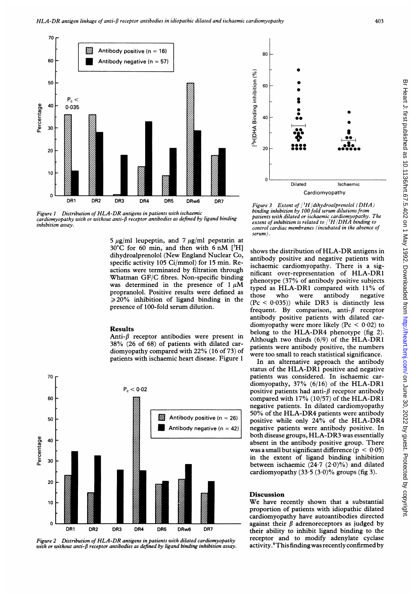



5  $\mu$ g/ml leupeptin, and 7  $\mu$ g/ml pepstatin at  $30^{\circ}$ C for 60 min, and then with 6 nM [<sup>3</sup>H] dihydroalprenolol (New England Nuclear Co, specific activity 105 Ci/mmol) for 15 min. Reactions were terminated by filtration through Whatman GF/C fibres. Non-specific binding was determined in the presence of  $1 \mu M$ propranolol. Positive results were defined as  $\geq$  20% inhibition of ligand binding in the presence of 100-fold serum dilution.

### Results

Anti- $\beta$  receptor antibodies were present in 38% (26 of 68) of patients with dilated cardiomyopathy compared with 22% (16 of 73) of patients with ischaemic heart disease. Figure <sup>1</sup>



Distribution of HLA-DR antigens in patients with dilated cardiomyopathy with or without anti- $\beta$  receptor antibodies as defined by ligand binding inhibition assay.



Figure 3 Extent of  $\int$ <sup>3</sup>H dihydroalprenolol (DHA) binding inhibition by 100 fold serum dilutions from patients with dilated or ischaemic cardiomyopathy. The extent of inhibition is related to  $\binom{3}{1}$ DHA binding to control cardiac membranes (incubated in the absence of serum).

shows the distribution of HLA-DR antigens in antibody positive and negative patients with ischaemic cardiomyopathy. There is a significant over-representation of HLA-DR1 phenotype (37% of antibody positive subjects typed as HLA-DR1 compared with 11% of those who were antibody negative  $($ Pc < 0.035)) while DR3 is distinctly less frequent. By comparison, anti- $\beta$  receptor antibody positive patients with dilated cardiomyopathy were more likely ( $Pc < 0.02$ ) to belong to the HLA-DR4 phenotype (fig 2). Although two thirds (6/9) of the HLA-DR1 patients were antibody positive, the numbers were too small to reach statistical significance.

In an alternative approach the antibody status of the HLA-DR1 positive and negative patients was considered. In ischaemic cardiomyopathy, 37% (6/16) of the HLA-DR1 positive patients had anti- $\beta$  receptor antibody compared with 17% (10/57) of the HLA-DR1 negative patients. In dilated cardiomyopathy 50% of the HLA-DR4 patients were antibody positive while only 24% of the HLA-DR4 negative patients were antibody positive. In both disease groups, HLA-DR3 was essentially absent in the antibody positive group. There was a small but significant difference ( $p < 0.05$ ) in the extent of ligand binding inhibition between ischaemic  $(24.7 (2.0)\%)$  and dilated cardiomyopathy  $(33.5 (3.0)\%$  groups (fig 3).

## Discussion

We have recently shown that <sup>a</sup> substantial proportion of patients with idiopathic dilated cardiomyopathy have autoantibodies directed against their  $\beta$  adrenoreceptors as judged by their ability to inhibit ligand binding to the receptor and to modify adenylate cyclase activity.<sup>4</sup> This finding was recently confirmed by

찢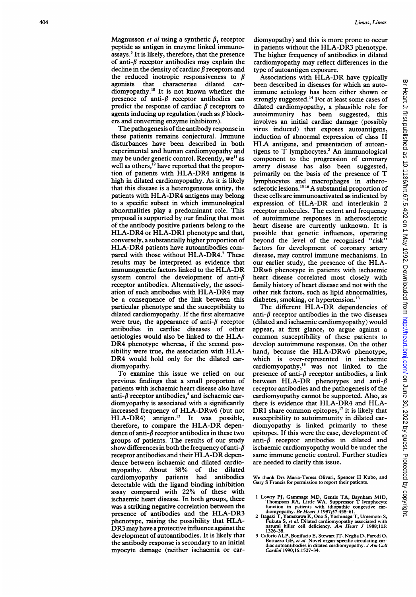Magnusson *et al* using a synthetic  $\beta_1$  receptor peptide as antigen in enzyme linked immunoassays.<sup>5</sup> It is likely, therefore, that the presence of anti- $\beta$  receptor antibodies may explain the decline in the density of cardiac  $\beta$  receptors and the reduced inotropic responsiveness to  $\beta$ agonists that characterise dilated cardiomyopathy.'0 It is not known whether the presence of anti- $\beta$  receptor antibodies can predict the response of cardiac  $\beta$  receptors to agents inducing up regulation (such as  $\beta$  blockers and converting enzyme inhibitors).

The pathogenesis of the antibody response in these patients remains conjectural. Immune disturbances have been described in both experimental and human cardiomyopathy and may be under genetic control. Recently, we<sup>11</sup> as well as others,<sup>12</sup> have reported that the proportion of patients with HLA-DR4 antigens is high in dilated cardiomyopathy. As it is likely that this disease is a heterogeneous entity, the patients with HLA-DR4 antigens may belong to a specific subset in which immunological abnormalities play a predominant role. This proposal is supported by our finding that most of the antibody positive patients belong to the HLA-DR4 or HLA-DR1 phenotype and that, conversely, a substantially higher proportion of HLA-DR4 patients have autoantibodies compared with those without HLA-DR4.<sup>7</sup> These results may be interpreted as evidence that immunogenetic factors linked to the HLA-DR system control the development of anti- $\beta$ receptor antibodies. Alternatively, the association of such antibodies with HLA-DR4 may be a consequence of the link between this particular phenotype and the susceptibility to dilated cardiomyopathy. If the first alternative were true, the appearance of anti- $\beta$  receptor antibodies in cardiac diseases of other aetiologies would also be linked to the HLA-DR4 phenotype whereas, if the second possibility were true, the association with HLA-DR4 would hold only for the dilated cardiomyopathy.

To examine this issue we relied on our previous findings that a small proporton of patients with ischaemic heart disease also have anti- $\beta$  receptor antibodies,<sup>4</sup> and ischaemic cardiomyopathy is associated with a significantly increased frequency of HLA-DRw6 (but not HLA-DR4) antigen.'3 It was possible, therefore, to compare the HLA-DR dependence of anti- $\beta$  receptor antibodies in these two groups of patients. The results of our study show differences in both the frequency of anti- $\beta$ receptor antibodies and their HLA-DR dependence between ischaemic and dilated cardiomyopathy. About 38% of the dilated cardiomyopathy patients had antibodies detectable with the ligand binding inhibition assay compared with 22% of these with ischaemic heart disease. In both groups, there was a striking negative correlation between the presence of antibodies and the HLA-DR3 phenotype, raising the possibility that HLA-DR3 may have <sup>a</sup> protective influence against the development of autoantibodies. It is likely that the antibody response is secondary to an initial myocyte damage (neither ischaemia or cardiomyopathy) and this is more prone to occur in patients without the HLA-DR3 phenotype. The higher frequency of antibodies in dilated cardiomyopathy may reflect differences in the type of autoantigen exposure.

Associations with HLA-DR have typically been described in diseases for which an autoimmune aetiology has been either shown or strongly suggested.'4 For at least some cases of dilated cardiomyopathy, a plausible role for autoimmunity has been suggested, this involves an initial cardiac damage (possibly virus induced) that exposes autoantigens, induction of abnormal expression of class II HLA antigens, and presentation of autoantigens to T lymphocytes.<sup>2</sup> An immunological component to the progression of coronary artery disease has also been suggested, primarily on the basis of the presence of T lymphocytes and macrophages in atherosclerotic lesions.<sup>15 16</sup> A substantial proportion of these cells are immunoactivated as indicated by expression of HLA-DR and interleukin 2 receptor molecules. The extent and frequency of autoimmune responses in atherosclerotic heart disease are currently unknown. It is possible that genetic influences, operating beyond the level of the recognised "risk" factors for development of coronary artery disease, may control immune mechanisms. In our earlier study, the presence of the HLA-DRw6 phenotype in patients with ischaemic heart disease correlated most closely with family history of heart disease and not with the other risk factors, such as lipid abnormalities, diabetes, smoking, or hypertension.<sup>13</sup>

The different HLA-DR dependencies of anti- $\beta$  receptor antibodies in the two diseases (dilated and ischaemic cardiomyopathy) would appear, at first glance, to argue against a common susceptibility of these patients to develop autoimmune responses. On the other hand, because the HLA-DRw6 phenotype, which is over-represented in ischaemic cardiomyopathy,'3 was not linked to the presence of anti- $\beta$  receptor antibodies, a link between HLA-DR phenotypes and anti- $\beta$ receptor antibodies and the pathogenesis of the cardiomyopathy cannot be supported. Also, as there is evidence that HLA-DR4 and HLA-DR1 share common epitopes,<sup>17</sup> it is likely that susceptibility to autoimmunity in dilated cardiomyopathy is linked primarily to these epitopes. If this were the case, development of anti- $\beta$  receptor antibodies in dilated and ischaemic cardiomyopathy would be under the same immune genetic control. Further studies are needed to clarify this issue.

We thank Drs Maria-Teresa Olivari, Spencer H Kubo, and Gary S Francis for permission to report their patients.

- 1 Lowry PJ, Gammage MD, Gentle TA, Baynham MID,<br>Thompson RA, Little WA. Suppressor T lymphocyte<br>function in patients with idiopathic congestive car-<br>diomyopathy. Br Heart J 1987;57:458-61.<br>2 Itagaki T, Yamakawa K, Ono S, Y
	- 1326-38.
- 3 Caforio ALP, Bonifacio E, Stewart JT, Neglia D, Parodi 0, Bottazzo GF, *et al*. Novel organ-specific circulating car-<br>diac autoantibodies in dilated cardiomyopathy. *J Am Coll* Cardiol 1990;15:1527-34.